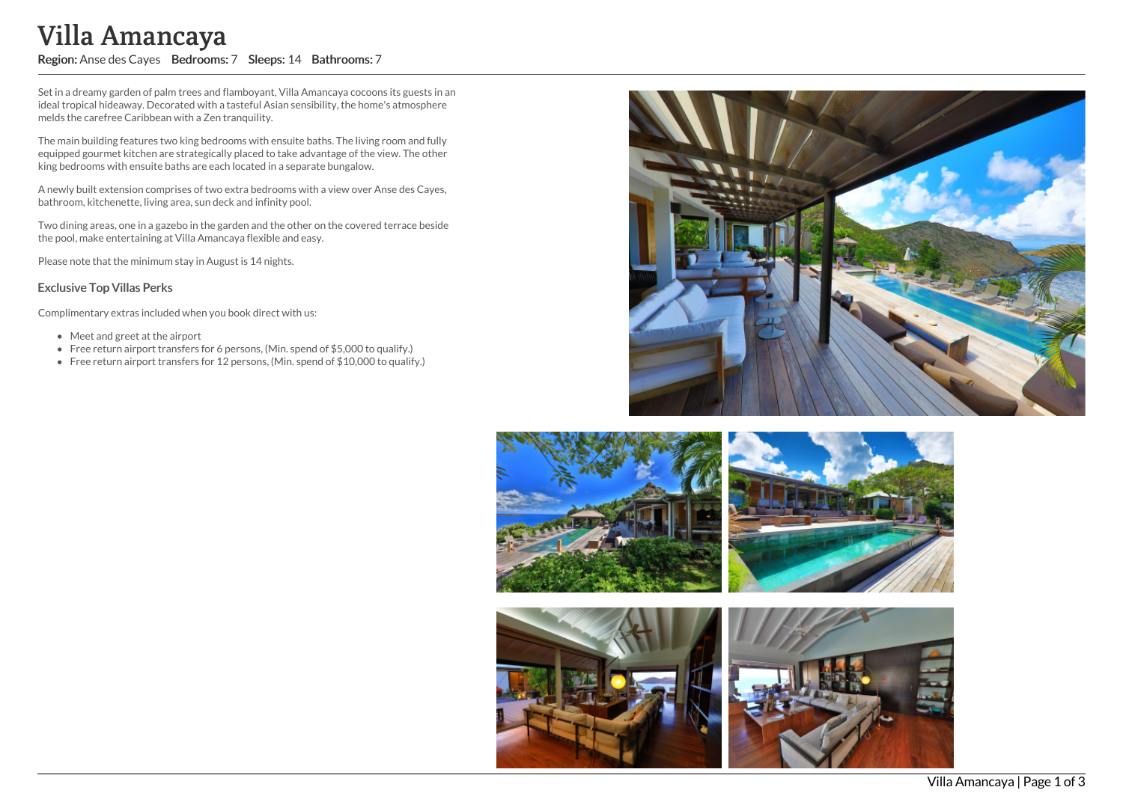## Villa Amancaya

## Region: Anse des Cayes Bedrooms: 7 Sleeps: 14 Bathrooms: 7

Set in a dreamy garden of palm trees and flamboyant, Villa Amancaya cocoons its guests in an ideal tropical hideaway. Decorated with a tasteful Asian sensibility, the home's atmosphere melds the carefree Caribbean with a Zen tranquility.

The main building features two king bedrooms with ensuite baths. The living room and fully equipped gourmet kitchen are strategically placed to take advantage of the view. The other king bedrooms with ensuite baths are each located in a separate bungalow.

A newly built extension comprises of two extra bedrooms with a view over Anse des Cayes, bathroom, kitchenette, living area, sun deck and infinity pool.

Two dining areas, one in a gazebo in the garden and the other on the covered terrace beside the pool, make entertaining at Villa Amancaya flexible and easy.

Please note that the minimum stay in August is 14 nights.

## Exclusive Top Villas Perks

Complimentary extras included when you book direct with us:

- Meet and greet at the airport
- Free return airport transfers for 6 persons, (Min. spend of \$5,000 to qualify.)
- Free return airport transfers for 12 persons, (Min. spend of \$10,000 to qualify.)



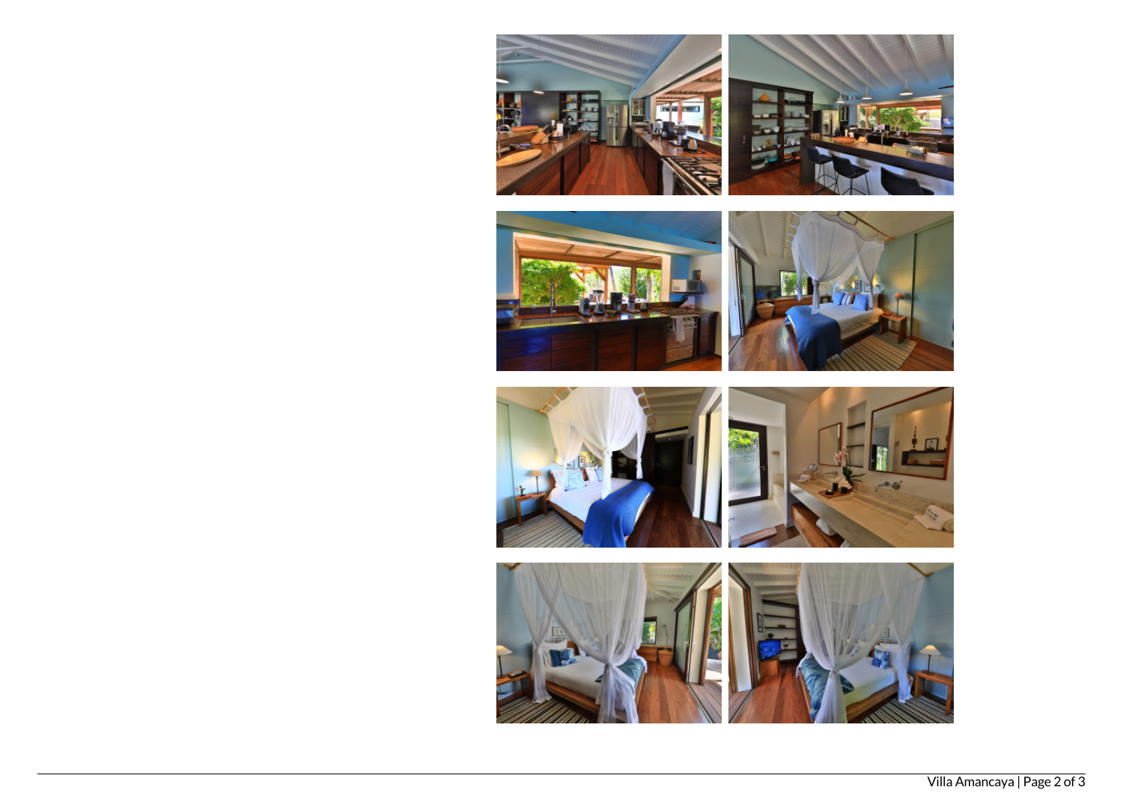